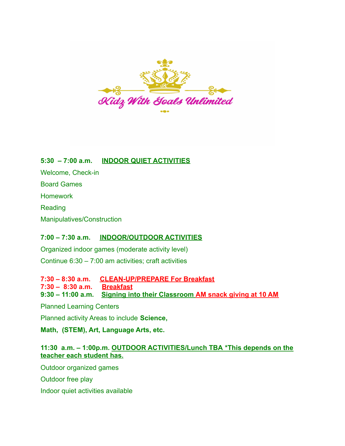

**5:30 – 7:00 a.m. INDOOR QUIET ACTIVITIES** Welcome, Check-in Board Games **Homework Reading** Manipulatives/Construction

## **7:00 – 7:30 a.m. INDOOR/OUTDOOR ACTIVITIES**

Organized indoor games (moderate activity level) Continue 6:30 – 7:00 am activities; craft activities

**7:30 – 8:30 a.m. CLEAN-UP/PREPARE For Breakfast 7:30 – 8:30 a.m. Breakfast 9:30 – 11:00 a.m. Signing into their Classroom AM snack giving at 10 AM**

Planned Learning Centers

Planned activity Areas to include **Science,**

**Math, (STEM), Art, Language Arts, etc.**

## **11:30 a.m. – 1:00p.m. OUTDOOR ACTIVITIES/Lunch TBA \*This depends on the teacher each student has.**

Outdoor organized games

Outdoor free play

Indoor quiet activities available